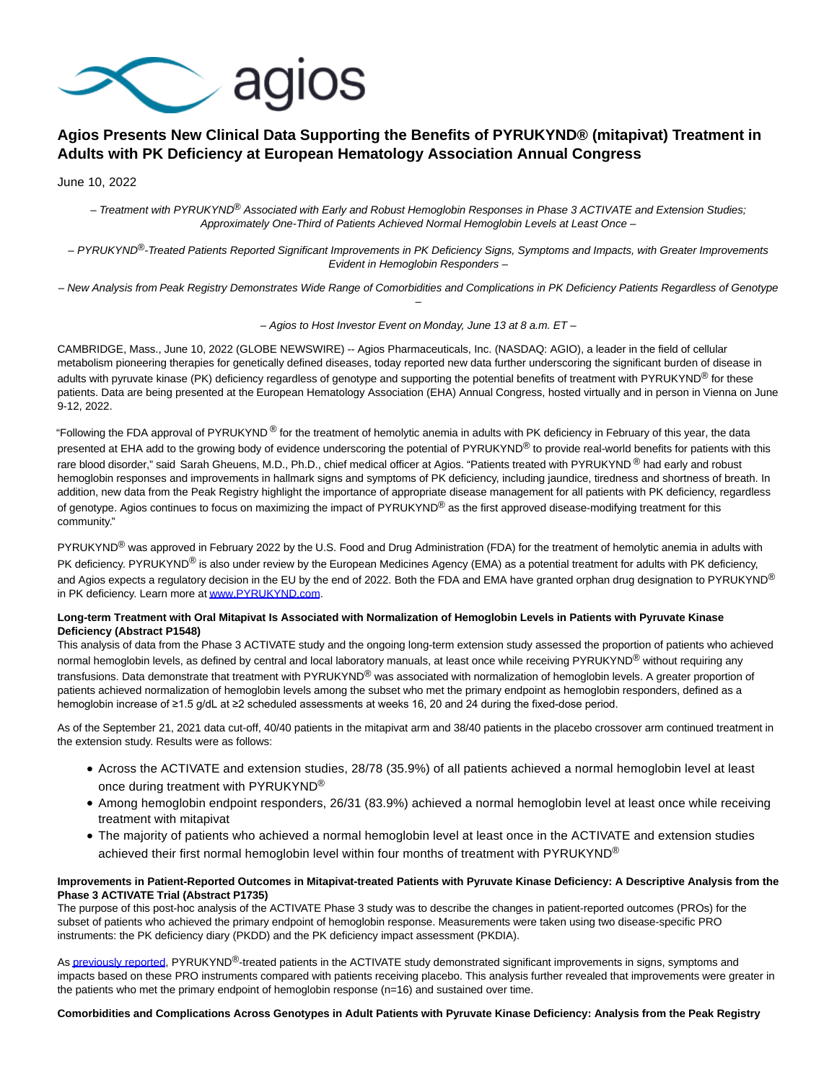

# **Agios Presents New Clinical Data Supporting the Benefits of PYRUKYND® (mitapivat) Treatment in Adults with PK Deficiency at European Hematology Association Annual Congress**

June 10, 2022

– Treatment with PYRUKYND® Associated with Early and Robust Hemoglobin Responses in Phase 3 ACTIVATE and Extension Studies; Approximately One-Third of Patients Achieved Normal Hemoglobin Levels at Least Once –

– PYRUKYND®-Treated Patients Reported Significant Improvements in PK Deficiency Signs, Symptoms and Impacts, with Greater Improvements Evident in Hemoglobin Responders –

– New Analysis from Peak Registry Demonstrates Wide Range of Comorbidities and Complications in PK Deficiency Patients Regardless of Genotype –

– Agios to Host Investor Event on Monday, June 13 at 8 a.m. ET –

CAMBRIDGE, Mass., June 10, 2022 (GLOBE NEWSWIRE) -- Agios Pharmaceuticals, Inc. (NASDAQ: AGIO), a leader in the field of cellular metabolism pioneering therapies for genetically defined diseases, today reported new data further underscoring the significant burden of disease in adults with pyruvate kinase (PK) deficiency regardless of genotype and supporting the potential benefits of treatment with PYRUKYND<sup>®</sup> for these patients. Data are being presented at the European Hematology Association (EHA) Annual Congress, hosted virtually and in person in Vienna on June 9-12, 2022.

"Following the FDA approval of PYRUKYND® for the treatment of hemolytic anemia in adults with PK deficiency in February of this year, the data presented at EHA add to the growing body of evidence underscoring the potential of PYRUKYND® to provide real-world benefits for patients with this rare blood disorder," said Sarah Gheuens, M.D., Ph.D., chief medical officer at Agios. "Patients treated with PYRUKYND® had early and robust hemoglobin responses and improvements in hallmark signs and symptoms of PK deficiency, including jaundice, tiredness and shortness of breath. In addition, new data from the Peak Registry highlight the importance of appropriate disease management for all patients with PK deficiency, regardless of genotype. Agios continues to focus on maximizing the impact of PYRUKYND® as the first approved disease-modifying treatment for this community."

PYRUKYND<sup>®</sup> was approved in February 2022 by the U.S. Food and Drug Administration (FDA) for the treatment of hemolytic anemia in adults with PK deficiency. PYRUKYND® is also under review by the European Medicines Agency (EMA) as a potential treatment for adults with PK deficiency, and Agios expects a regulatory decision in the EU by the end of 2022. Both the FDA and EMA have granted orphan drug designation to PYRUKYND® in PK deficiency. Learn more a[t www.PYRUKYND.com.](https://www.globenewswire.com/Tracker?data=CumL_rJb9F6ITMEmjRqi40kIAo9Jf3QcovZjnrBYXRVyp9mSkFA7llbFKZFYMUHB7qHqLlI5iGXGScFGSaFwRA==)

# **Long-term Treatment with Oral Mitapivat Is Associated with Normalization of Hemoglobin Levels in Patients with Pyruvate Kinase Deficiency (Abstract P1548)**

This analysis of data from the Phase 3 ACTIVATE study and the ongoing long-term extension study assessed the proportion of patients who achieved normal hemoglobin levels, as defined by central and local laboratory manuals, at least once while receiving PYRUKYND® without requiring any transfusions. Data demonstrate that treatment with PYRUKYND® was associated with normalization of hemoglobin levels. A greater proportion of patients achieved normalization of hemoglobin levels among the subset who met the primary endpoint as hemoglobin responders, defined as a hemoglobin increase of ≥1.5 g/dL at ≥2 scheduled assessments at weeks 16, 20 and 24 during the fixed-dose period.

As of the September 21, 2021 data cut-off, 40/40 patients in the mitapivat arm and 38/40 patients in the placebo crossover arm continued treatment in the extension study. Results were as follows:

- Across the ACTIVATE and extension studies, 28/78 (35.9%) of all patients achieved a normal hemoglobin level at least once during treatment with PYRUKYND®
- Among hemoglobin endpoint responders, 26/31 (83.9%) achieved a normal hemoglobin level at least once while receiving treatment with mitapivat
- The majority of patients who achieved a normal hemoglobin level at least once in the ACTIVATE and extension studies achieved their first normal hemoglobin level within four months of treatment with PYRUKYND®

# **Improvements in Patient-Reported Outcomes in Mitapivat-treated Patients with Pyruvate Kinase Deficiency: A Descriptive Analysis from the Phase 3 ACTIVATE Trial (Abstract P1735)**

The purpose of this post-hoc analysis of the ACTIVATE Phase 3 study was to describe the changes in patient-reported outcomes (PROs) for the subset of patients who achieved the primary endpoint of hemoglobin response. Measurements were taken using two disease-specific PRO instruments: the PK deficiency diary (PKDD) and the PK deficiency impact assessment (PKDIA).

A[s previously reported,](https://www.globenewswire.com/Tracker?data=uWGHJYjM2WXFIveC-x3itceifUoNhV1eY5E6K3AavkmieB8LRElbaLSj_RIW-N2ak_nQQjz1akvt0JzgI8gdYE0gVQ2_kPgktQTqJ7jYGR5pWIKT_uH2PDAmvuJu1oGVpplDEEK3UY0Uchj8Dd9xN1DFo6qdJKxkNNn7ZPjTAckwx8A8D-rq8kE47vdt0daW1EbTHSrLbDACC-3-k8qqfLF4JcEtOGvtn4Zt_PVDTsM=) PYRUKYND®-treated patients in the ACTIVATE study demonstrated significant improvements in signs, symptoms and impacts based on these PRO instruments compared with patients receiving placebo. This analysis further revealed that improvements were greater in the patients who met the primary endpoint of hemoglobin response (n=16) and sustained over time.

**Comorbidities and Complications Across Genotypes in Adult Patients with Pyruvate Kinase Deficiency: Analysis from the Peak Registry**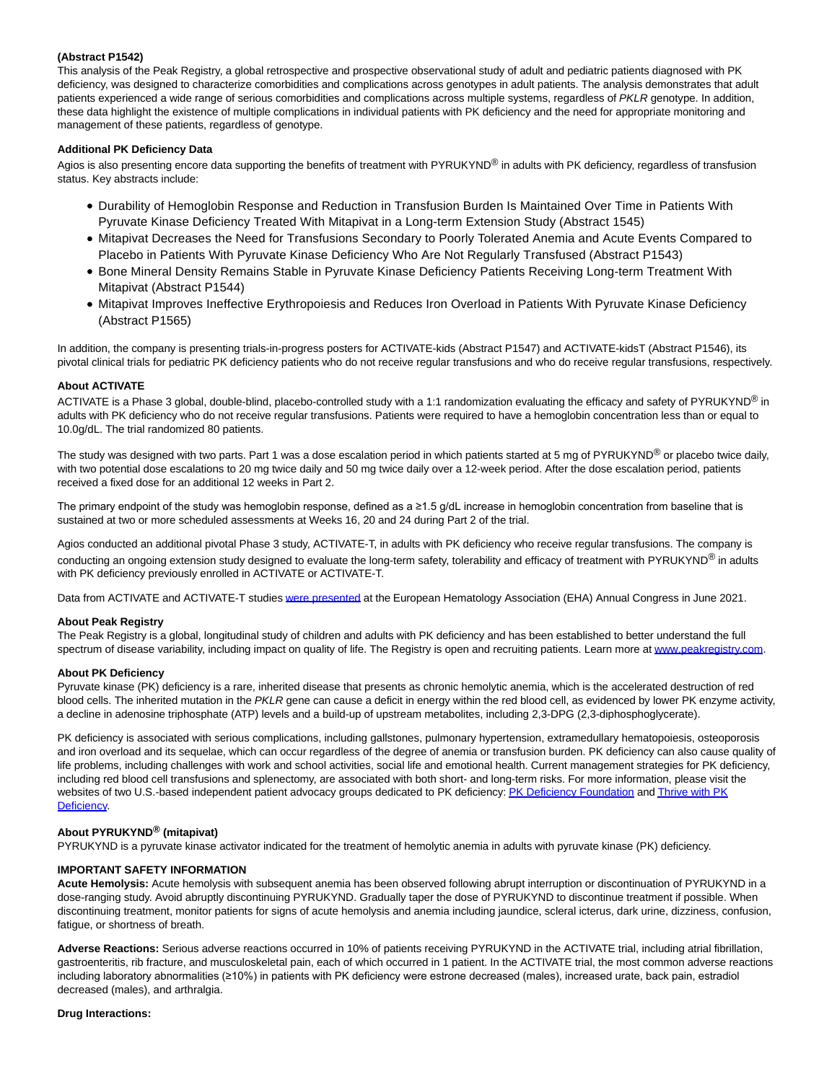# **(Abstract P1542)**

This analysis of the Peak Registry, a global retrospective and prospective observational study of adult and pediatric patients diagnosed with PK deficiency, was designed to characterize comorbidities and complications across genotypes in adult patients. The analysis demonstrates that adult patients experienced a wide range of serious comorbidities and complications across multiple systems, regardless of PKLR genotype. In addition, these data highlight the existence of multiple complications in individual patients with PK deficiency and the need for appropriate monitoring and management of these patients, regardless of genotype.

# **Additional PK Deficiency Data**

Agios is also presenting encore data supporting the benefits of treatment with PYRUKYND® in adults with PK deficiency, regardless of transfusion status. Key abstracts include:

- Durability of Hemoglobin Response and Reduction in Transfusion Burden Is Maintained Over Time in Patients With Pyruvate Kinase Deficiency Treated With Mitapivat in a Long-term Extension Study (Abstract 1545)
- Mitapivat Decreases the Need for Transfusions Secondary to Poorly Tolerated Anemia and Acute Events Compared to Placebo in Patients With Pyruvate Kinase Deficiency Who Are Not Regularly Transfused (Abstract P1543)
- Bone Mineral Density Remains Stable in Pyruvate Kinase Deficiency Patients Receiving Long-term Treatment With Mitapivat (Abstract P1544)
- Mitapivat Improves Ineffective Erythropoiesis and Reduces Iron Overload in Patients With Pyruvate Kinase Deficiency (Abstract P1565)

In addition, the company is presenting trials-in-progress posters for ACTIVATE-kids (Abstract P1547) and ACTIVATE-kidsT (Abstract P1546), its pivotal clinical trials for pediatric PK deficiency patients who do not receive regular transfusions and who do receive regular transfusions, respectively.

# **About ACTIVATE**

ACTIVATE is a Phase 3 global, double-blind, placebo-controlled study with a 1:1 randomization evaluating the efficacy and safety of PYRUKYND® in adults with PK deficiency who do not receive regular transfusions. Patients were required to have a hemoglobin concentration less than or equal to 10.0g/dL. The trial randomized 80 patients.

The study was designed with two parts. Part 1 was a dose escalation period in which patients started at 5 mg of PYRUKYND<sup>®</sup> or placebo twice daily, with two potential dose escalations to 20 mg twice daily and 50 mg twice daily over a 12-week period. After the dose escalation period, patients received a fixed dose for an additional 12 weeks in Part 2.

The primary endpoint of the study was hemoglobin response, defined as a ≥1.5 g/dL increase in hemoglobin concentration from baseline that is sustained at two or more scheduled assessments at Weeks 16, 20 and 24 during Part 2 of the trial.

Agios conducted an additional pivotal Phase 3 study, ACTIVATE-T, in adults with PK deficiency who receive regular transfusions. The company is conducting an ongoing extension study designed to evaluate the long-term safety, tolerability and efficacy of treatment with PYRUKYND® in adults with PK deficiency previously enrolled in ACTIVATE or ACTIVATE-T.

Data from ACTIVATE and ACTIVATE-T studie[s were presented a](https://www.globenewswire.com/Tracker?data=mOcTJEcWHmpcu5FgyAX2GsJTwOtIrTIcep9VAY047e2_w1yESgtYqLE5pB2h6o91h12xUwc9nFWi3pxY_8dYf_uJhKd50bQtUwP8y8xANpoo6wCfU4UnZa6dy_rtbDG1WJ4HYcS4LDjbA3xcuqSJQKgpJYM6bh8_bdtKfgzN91YZ-YSEjEJjxlYj5-eEQLzgeh5QXOeOFDvVPreGEqsLXg==)t the European Hematology Association (EHA) Annual Congress in June 2021.

## **About Peak Registry**

The Peak Registry is a global, longitudinal study of children and adults with PK deficiency and has been established to better understand the full spectrum of disease variability, including impact on quality of life. The Registry is open and recruiting patients. Learn more a[t www.peakregistry.com.](https://www.globenewswire.com/Tracker?data=gFWlY83hAkVcwCLlQP_0ij4SnWiA3LyE3Y3dPSJoG90hR2CGA9APYIemjBXo_R3_HmYrqmUBGoBfMpJtpi-_dfmbj6T8Sjp27rkMcFVKXF0=)

## **About PK Deficiency**

Pyruvate kinase (PK) deficiency is a rare, inherited disease that presents as chronic hemolytic anemia, which is the accelerated destruction of red blood cells. The inherited mutation in the PKLR gene can cause a deficit in energy within the red blood cell, as evidenced by lower PK enzyme activity, a decline in adenosine triphosphate (ATP) levels and a build-up of upstream metabolites, including 2,3-DPG (2,3-diphosphoglycerate).

PK deficiency is associated with serious complications, including gallstones, pulmonary hypertension, extramedullary hematopoiesis, osteoporosis and iron overload and its sequelae, which can occur regardless of the degree of anemia or transfusion burden. PK deficiency can also cause quality of life problems, including challenges with work and school activities, social life and emotional health. Current management strategies for PK deficiency, including red blood cell transfusions and splenectomy, are associated with both short- and long-term risks. For more information, please visit the websites of two U.S.-based independent patient advocacy groups dedicated to PK deficiency[: PK Deficiency Foundation a](https://www.globenewswire.com/Tracker?data=rwwngU4OYnRhmSZdO1FN-Jabc0Jtnh6T7FQNmTjicMcg6FAcUqem_1phfAIM20ySa3YRB5obVfSIvw5wca5ZhOWRMzpgepjdCZO5JZ8uuJg=)n[d Thrive with PK](https://www.globenewswire.com/Tracker?data=1ixOrkNo348RzTA_Z9XyABnx7lmVLlumkUsfHvPcZSrpcSmvWKgBG-pIE9TpuX0_XJomQH-yYmNVPxcdlI9Y439cegHhQ2L2hwvNAz-8tdc=) Deficiency.

## **About PYRUKYND® (mitapivat)**

PYRUKYND is a pyruvate kinase activator indicated for the treatment of hemolytic anemia in adults with pyruvate kinase (PK) deficiency.

# **IMPORTANT SAFETY INFORMATION**

**Acute Hemolysis:** Acute hemolysis with subsequent anemia has been observed following abrupt interruption or discontinuation of PYRUKYND in a dose-ranging study. Avoid abruptly discontinuing PYRUKYND. Gradually taper the dose of PYRUKYND to discontinue treatment if possible. When discontinuing treatment, monitor patients for signs of acute hemolysis and anemia including jaundice, scleral icterus, dark urine, dizziness, confusion, fatigue, or shortness of breath.

**Adverse Reactions:** Serious adverse reactions occurred in 10% of patients receiving PYRUKYND in the ACTIVATE trial, including atrial fibrillation, gastroenteritis, rib fracture, and musculoskeletal pain, each of which occurred in 1 patient. In the ACTIVATE trial, the most common adverse reactions including laboratory abnormalities (≥10%) in patients with PK deficiency were estrone decreased (males), increased urate, back pain, estradiol decreased (males), and arthralgia.

#### **Drug Interactions:**